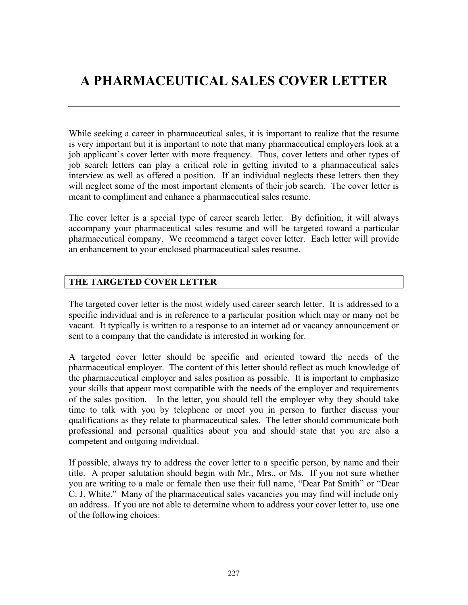# **A PHARMACEUTICAL SALES COVER LETTER**

While seeking a career in pharmaceutical sales, it is important to realize that the resume is very important but it is important to note that many pharmaceutical employers look at a job applicant's cover letter with more frequency. Thus, cover letters and other types of job search letters can play a critical role in getting invited to a pharmaceutical sales interview as well as offered a position. If an individual neglects these letters then they will neglect some of the most important elements of their job search. The cover letter is meant to compliment and enhance a pharmaceutical sales resume.

The cover letter is a special type of career search letter. By definition, it will always accompany your pharmaceutical sales resume and will be targeted toward a particular pharmaceutical company. We recommend a target cover letter. Each letter will provide an enhancement to your enclosed pharmaceutical sales resume.

## **THE TARGETED COVER LETTER**

The targeted cover letter is the most widely used career search letter. It is addressed to a specific individual and is in reference to a particular position which may or many not be vacant. It typically is written to a response to an internet ad or vacancy announcement or sent to a company that the candidate is interested in working for.

A targeted cover letter should be specific and oriented toward the needs of the pharmaceutical employer. The content of this letter should reflect as much knowledge of the pharmaceutical employer and sales position as possible. It is important to emphasize your skills that appear most compatible with the needs of the employer and requirements of the sales position. In the letter, you should tell the employer why they should take time to talk with you by telephone or meet you in person to further discuss your qualifications as they relate to pharmaceutical sales. The letter should communicate both professional and personal qualities about you and should state that you are also a competent and outgoing individual.

If possible, always try to address the cover letter to a specific person, by name and their title. A proper salutation should begin with Mr., Mrs., or Ms. If you not sure whether you are writing to a male or female then use their full name, "Dear Pat Smith" or "Dear C. J. White." Many of the pharmaceutical sales vacancies you may find will include only an address. If you are not able to determine whom to address your cover letter to, use one of the following choices: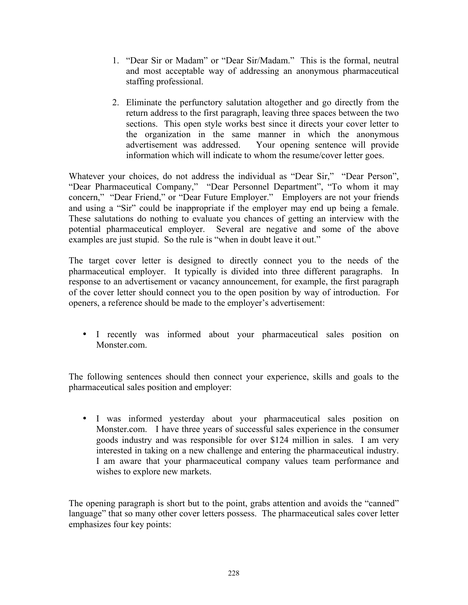- 1. "Dear Sir or Madam" or "Dear Sir/Madam." This is the formal, neutral and most acceptable way of addressing an anonymous pharmaceutical staffing professional.
- 2. Eliminate the perfunctory salutation altogether and go directly from the return address to the first paragraph, leaving three spaces between the two sections. This open style works best since it directs your cover letter to the organization in the same manner in which the anonymous advertisement was addressed. Your opening sentence will provide information which will indicate to whom the resume/cover letter goes.

Whatever your choices, do not address the individual as "Dear Sir," "Dear Person", "Dear Pharmaceutical Company," "Dear Personnel Department", "To whom it may concern," "Dear Friend," or "Dear Future Employer." Employers are not your friends and using a "Sir" could be inappropriate if the employer may end up being a female. These salutations do nothing to evaluate you chances of getting an interview with the potential pharmaceutical employer. Several are negative and some of the above examples are just stupid. So the rule is "when in doubt leave it out."

The target cover letter is designed to directly connect you to the needs of the pharmaceutical employer. It typically is divided into three different paragraphs. In response to an advertisement or vacancy announcement, for example, the first paragraph of the cover letter should connect you to the open position by way of introduction. For openers, a reference should be made to the employer's advertisement:

• I recently was informed about your pharmaceutical sales position on Monster.com.

The following sentences should then connect your experience, skills and goals to the pharmaceutical sales position and employer:

• I was informed yesterday about your pharmaceutical sales position on Monster.com. I have three years of successful sales experience in the consumer goods industry and was responsible for over \$124 million in sales. I am very interested in taking on a new challenge and entering the pharmaceutical industry. I am aware that your pharmaceutical company values team performance and wishes to explore new markets.

The opening paragraph is short but to the point, grabs attention and avoids the "canned" language" that so many other cover letters possess. The pharmaceutical sales cover letter emphasizes four key points: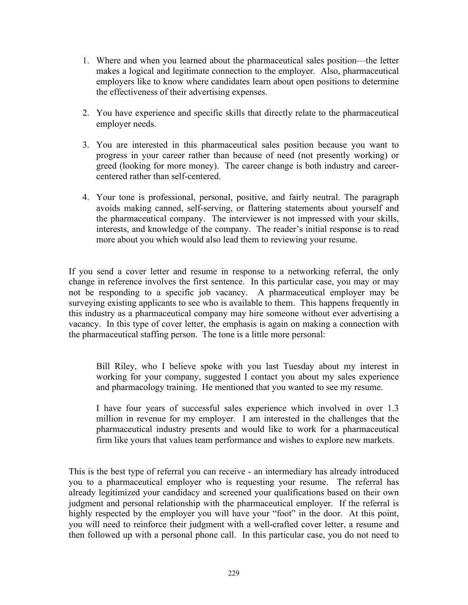- 1. Where and when you learned about the pharmaceutical sales position—the letter makes a logical and legitimate connection to the employer. Also, pharmaceutical employers like to know where candidates learn about open positions to determine the effectiveness of their advertising expenses.
- 2. You have experience and specific skills that directly relate to the pharmaceutical employer needs.
- 3. You are interested in this pharmaceutical sales position because you want to progress in your career rather than because of need (not presently working) or greed (looking for more money). The career change is both industry and careercentered rather than self-centered.
- 4. Your tone is professional, personal, positive, and fairly neutral. The paragraph avoids making canned, self-serving, or flattering statements about yourself and the pharmaceutical company. The interviewer is not impressed with your skills, interests, and knowledge of the company. The reader's initial response is to read more about you which would also lead them to reviewing your resume.

If you send a cover letter and resume in response to a networking referral, the only change in reference involves the first sentence. In this particular case, you may or may not be responding to a specific job vacancy. A pharmaceutical employer may be surveying existing applicants to see who is available to them. This happens frequently in this industry as a pharmaceutical company may hire someone without ever advertising a vacancy. In this type of cover letter, the emphasis is again on making a connection with the pharmaceutical staffing person. The tone is a little more personal:

Bill Riley, who I believe spoke with you last Tuesday about my interest in working for your company, suggested I contact you about my sales experience and pharmacology training. He mentioned that you wanted to see my resume.

I have four years of successful sales experience which involved in over 1.3 million in revenue for my employer. I am interested in the challenges that the pharmaceutical industry presents and would like to work for a pharmaceutical firm like yours that values team performance and wishes to explore new markets.

This is the best type of referral you can receive - an intermediary has already introduced you to a pharmaceutical employer who is requesting your resume. The referral has already legitimized your candidacy and screened your qualifications based on their own judgment and personal relationship with the pharmaceutical employer. If the referral is highly respected by the employer you will have your "foot" in the door. At this point, you will need to reinforce their judgment with a well-crafted cover letter, a resume and then followed up with a personal phone call. In this particular case, you do not need to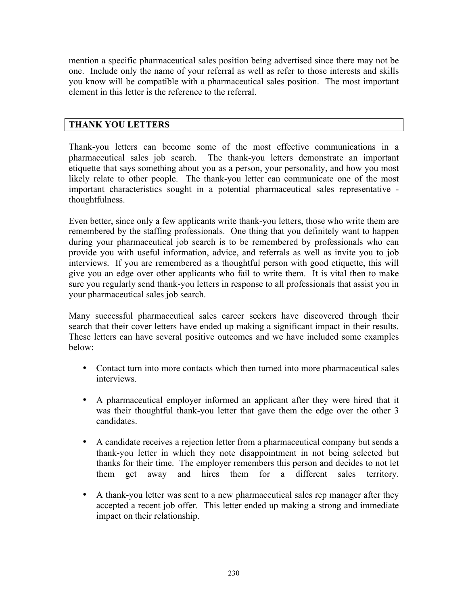mention a specific pharmaceutical sales position being advertised since there may not be one. Include only the name of your referral as well as refer to those interests and skills you know will be compatible with a pharmaceutical sales position. The most important element in this letter is the reference to the referral.

## **THANK YOU LETTERS**

Thank-you letters can become some of the most effective communications in a pharmaceutical sales job search. The thank-you letters demonstrate an important etiquette that says something about you as a person, your personality, and how you most likely relate to other people. The thank-you letter can communicate one of the most important characteristics sought in a potential pharmaceutical sales representative thoughtfulness.

Even better, since only a few applicants write thank-you letters, those who write them are remembered by the staffing professionals. One thing that you definitely want to happen during your pharmaceutical job search is to be remembered by professionals who can provide you with useful information, advice, and referrals as well as invite you to job interviews. If you are remembered as a thoughtful person with good etiquette, this will give you an edge over other applicants who fail to write them. It is vital then to make sure you regularly send thank-you letters in response to all professionals that assist you in your pharmaceutical sales job search.

Many successful pharmaceutical sales career seekers have discovered through their search that their cover letters have ended up making a significant impact in their results. These letters can have several positive outcomes and we have included some examples below:

- Contact turn into more contacts which then turned into more pharmaceutical sales interviews.
- A pharmaceutical employer informed an applicant after they were hired that it was their thoughtful thank-you letter that gave them the edge over the other 3 candidates.
- A candidate receives a rejection letter from a pharmaceutical company but sends a thank-you letter in which they note disappointment in not being selected but thanks for their time. The employer remembers this person and decides to not let them get away and hires them for a different sales territory.
- A thank-you letter was sent to a new pharmaceutical sales rep manager after they accepted a recent job offer. This letter ended up making a strong and immediate impact on their relationship.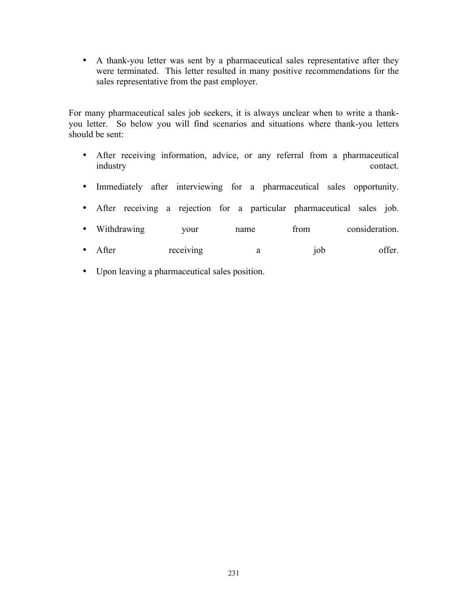• A thank-you letter was sent by a pharmaceutical sales representative after they were terminated. This letter resulted in many positive recommendations for the sales representative from the past employer.

For many pharmaceutical sales job seekers, it is always unclear when to write a thankyou letter. So below you will find scenarios and situations where thank-you letters should be sent:

- After receiving information, advice, or any referral from a pharmaceutical industry contact.
- Immediately after interviewing for a pharmaceutical sales opportunity.
- After receiving a rejection for a particular pharmaceutical sales job.
- Withdrawing your name from consideration.
- After receiving a job offer.
- Upon leaving a pharmaceutical sales position.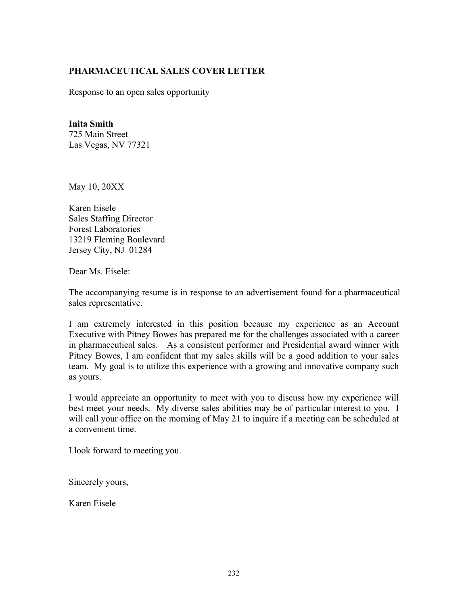## **PHARMACEUTICAL SALES COVER LETTER**

Response to an open sales opportunity

#### **Inita Smith**

725 Main Street Las Vegas, NV 77321

May 10, 20XX

Karen Eisele Sales Staffing Director Forest Laboratories 13219 Fleming Boulevard Jersey City, NJ 01284

Dear Ms. Eisele:

The accompanying resume is in response to an advertisement found for a pharmaceutical sales representative.

I am extremely interested in this position because my experience as an Account Executive with Pitney Bowes has prepared me for the challenges associated with a career in pharmaceutical sales. As a consistent performer and Presidential award winner with Pitney Bowes, I am confident that my sales skills will be a good addition to your sales team. My goal is to utilize this experience with a growing and innovative company such as yours.

I would appreciate an opportunity to meet with you to discuss how my experience will best meet your needs. My diverse sales abilities may be of particular interest to you. I will call your office on the morning of May 21 to inquire if a meeting can be scheduled at a convenient time.

I look forward to meeting you.

Sincerely yours,

Karen Eisele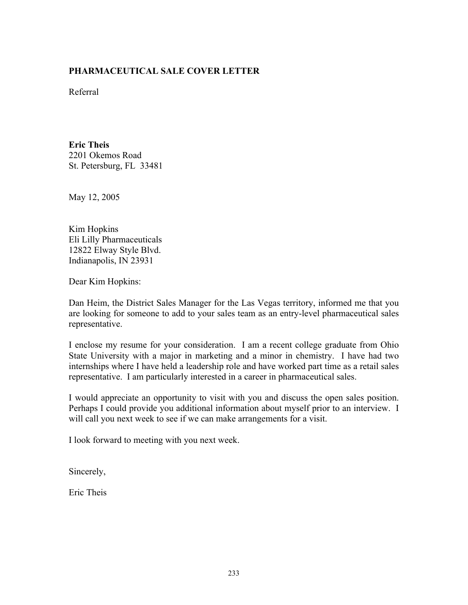## **PHARMACEUTICAL SALE COVER LETTER**

Referral

**Eric Theis** 2201 Okemos Road St. Petersburg, FL 33481

May 12, 2005

Kim Hopkins Eli Lilly Pharmaceuticals 12822 Elway Style Blvd. Indianapolis, IN 23931

Dear Kim Hopkins:

Dan Heim, the District Sales Manager for the Las Vegas territory, informed me that you are looking for someone to add to your sales team as an entry-level pharmaceutical sales representative.

I enclose my resume for your consideration. I am a recent college graduate from Ohio State University with a major in marketing and a minor in chemistry. I have had two internships where I have held a leadership role and have worked part time as a retail sales representative. I am particularly interested in a career in pharmaceutical sales.

I would appreciate an opportunity to visit with you and discuss the open sales position. Perhaps I could provide you additional information about myself prior to an interview. I will call you next week to see if we can make arrangements for a visit.

I look forward to meeting with you next week.

Sincerely,

Eric Theis